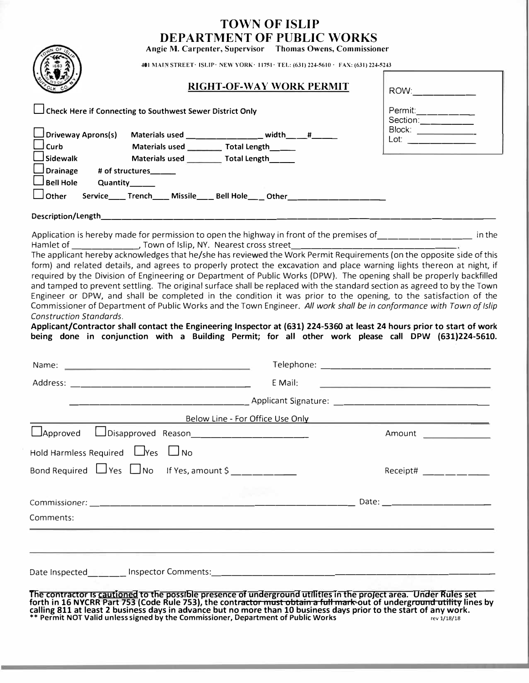|                                                                                                                                                                                                                                                              | <b>TOWN OF ISLIP</b><br><b>DEPARTMENT OF PUBLIC WORKS</b>                              |                                                 |
|--------------------------------------------------------------------------------------------------------------------------------------------------------------------------------------------------------------------------------------------------------------|----------------------------------------------------------------------------------------|-------------------------------------------------|
|                                                                                                                                                                                                                                                              | Angie M. Carpenter, Supervisor Thomas Owens, Commissioner                              |                                                 |
|                                                                                                                                                                                                                                                              | 401 MAIN STREET · ISLIP · NEW YORK · 11751 · TEL: (631) 224-5610 · FAX: (631) 224-5243 |                                                 |
|                                                                                                                                                                                                                                                              | RIGHT-OF-WAY WORK PERMIT                                                               | ROW:_________                                   |
| Check Here if Connecting to Southwest Sewer District Only                                                                                                                                                                                                    |                                                                                        | Permit:________<br>Section:_________            |
| Driveway Aprons(s)<br>Materials used _____________ width____#____                                                                                                                                                                                            |                                                                                        | Block:<br>Lot: ____________                     |
| Materials used ___________ Total Length_______<br><b>Curb</b>                                                                                                                                                                                                |                                                                                        |                                                 |
| Materials used _________ Total Length______<br>$\Box$ Sidewalk                                                                                                                                                                                               |                                                                                        |                                                 |
| $\Box$ Drainage<br># of structures______<br><b>Bell Hole</b><br>Quantity______                                                                                                                                                                               |                                                                                        |                                                 |
| Other<br>Service____Trench____ Missile____ Bell Hole____ Other______________________                                                                                                                                                                         |                                                                                        |                                                 |
|                                                                                                                                                                                                                                                              |                                                                                        |                                                 |
|                                                                                                                                                                                                                                                              |                                                                                        |                                                 |
| Application is hereby made for permission to open the highway in front of the premises of __________________ in the                                                                                                                                          |                                                                                        |                                                 |
| The applicant hereby acknowledges that he/she has reviewed the Work Permit Requirements (on the opposite side of this                                                                                                                                        |                                                                                        |                                                 |
| form) and related details, and agrees to properly protect the excavation and place warning lights thereon at night, if                                                                                                                                       |                                                                                        |                                                 |
| required by the Division of Engineering or Department of Public Works (DPW). The opening shall be properly backfilled<br>and tamped to prevent settling. The original surface shall be replaced with the standard section as agreed to by the Town           |                                                                                        |                                                 |
| Engineer or DPW, and shall be completed in the condition it was prior to the opening, to the satisfaction of the                                                                                                                                             |                                                                                        |                                                 |
| Commissioner of Department of Public Works and the Town Engineer. All work shall be in conformance with Town of Islip                                                                                                                                        |                                                                                        |                                                 |
| <b>Construction Standards.</b><br>Applicant/Contractor shall contact the Engineering Inspector at (631) 224-5360 at least 24 hours prior to start of work                                                                                                    |                                                                                        |                                                 |
| being done in conjunction with a Building Permit; for all other work please call DPW (631)224-5610.                                                                                                                                                          |                                                                                        |                                                 |
|                                                                                                                                                                                                                                                              |                                                                                        |                                                 |
|                                                                                                                                                                                                                                                              |                                                                                        |                                                 |
|                                                                                                                                                                                                                                                              | E Mail:                                                                                |                                                 |
|                                                                                                                                                                                                                                                              | Applicant Signature:                                                                   |                                                 |
|                                                                                                                                                                                                                                                              | Below Line - For Office Use Only                                                       |                                                 |
| Approved LDisapproved Reason                                                                                                                                                                                                                                 |                                                                                        | Amount                                          |
| Hold Harmless Required LYes LJNo                                                                                                                                                                                                                             |                                                                                        |                                                 |
| Bond Required $\Box$ Yes $\Box$ No If Yes, amount $\frac{1}{2}$ $\frac{1}{2}$ $\frac{1}{2}$ $\frac{1}{2}$                                                                                                                                                    |                                                                                        | Receipt# $\_\_\_\_\_\_\_\_\_\_\_\_\_\_\_\_\_\_$ |
|                                                                                                                                                                                                                                                              |                                                                                        |                                                 |
|                                                                                                                                                                                                                                                              |                                                                                        |                                                 |
| Comments:                                                                                                                                                                                                                                                    |                                                                                        |                                                 |
| <u>. Andre Alemany and Alemany and Alemany and Alemany and Alemany and Alemany and Alemany and Alemany and Alemany</u><br><u> 1990 - Anii 1990 - Anii 1900 - Anii 1900 - Anii 1900 - Anii 1900 - Anii 1900 - Anii 1900 - Anii 1900 - Anii 1</u>              |                                                                                        |                                                 |
|                                                                                                                                                                                                                                                              |                                                                                        |                                                 |
|                                                                                                                                                                                                                                                              |                                                                                        |                                                 |
| The contractor is <u>cautioned</u> to the possible presence of underground utilities in the project area. Under Rules set<br>forth in 16 NYCRR Part 753 (Code Rule 753), the contr <del>actor must obtain a full mark-</del> out of undergr <del>ound </del> |                                                                                        |                                                 |
| calling 811 at least 2 business days in advance but no more than 10 business days prior to the start of any work.<br>** Permit NOT Valid unless signed by the Commissioner, Department of Public Works rev 1/18/18                                           |                                                                                        |                                                 |